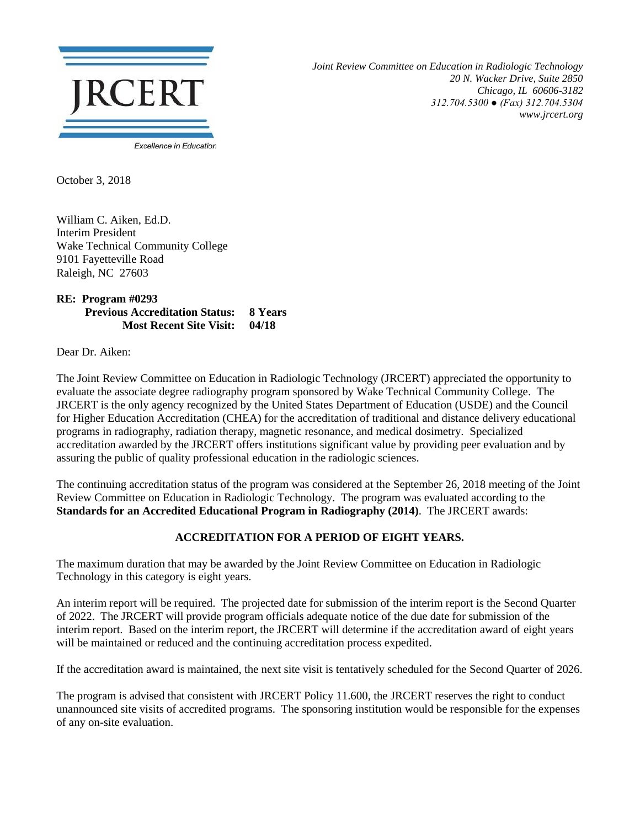

*Joint Review Committee on Education in Radiologic Technology 20 N. Wacker Drive, Suite 2850 Chicago, IL 60606-3182 312.704.5300 ● (Fax) 312.704.5304 www.jrcert.org*

October 3, 2018

William C. Aiken, Ed.D. Interim President Wake Technical Community College 9101 Fayetteville Road Raleigh, NC 27603

**RE: Program #0293 Previous Accreditation Status: 8 Years Most Recent Site Visit: 04/18**

Dear Dr. Aiken:

The Joint Review Committee on Education in Radiologic Technology (JRCERT) appreciated the opportunity to evaluate the associate degree radiography program sponsored by Wake Technical Community College. The JRCERT is the only agency recognized by the United States Department of Education (USDE) and the Council for Higher Education Accreditation (CHEA) for the accreditation of traditional and distance delivery educational programs in radiography, radiation therapy, magnetic resonance, and medical dosimetry. Specialized accreditation awarded by the JRCERT offers institutions significant value by providing peer evaluation and by assuring the public of quality professional education in the radiologic sciences.

The continuing accreditation status of the program was considered at the September 26, 2018 meeting of the Joint Review Committee on Education in Radiologic Technology. The program was evaluated according to the **Standards for an Accredited Educational Program in Radiography (2014)**. The JRCERT awards:

## **ACCREDITATION FOR A PERIOD OF EIGHT YEARS.**

The maximum duration that may be awarded by the Joint Review Committee on Education in Radiologic Technology in this category is eight years.

An interim report will be required. The projected date for submission of the interim report is the Second Quarter of 2022. The JRCERT will provide program officials adequate notice of the due date for submission of the interim report. Based on the interim report, the JRCERT will determine if the accreditation award of eight years will be maintained or reduced and the continuing accreditation process expedited.

If the accreditation award is maintained, the next site visit is tentatively scheduled for the Second Quarter of 2026.

The program is advised that consistent with JRCERT Policy 11.600, the JRCERT reserves the right to conduct unannounced site visits of accredited programs. The sponsoring institution would be responsible for the expenses of any on-site evaluation.